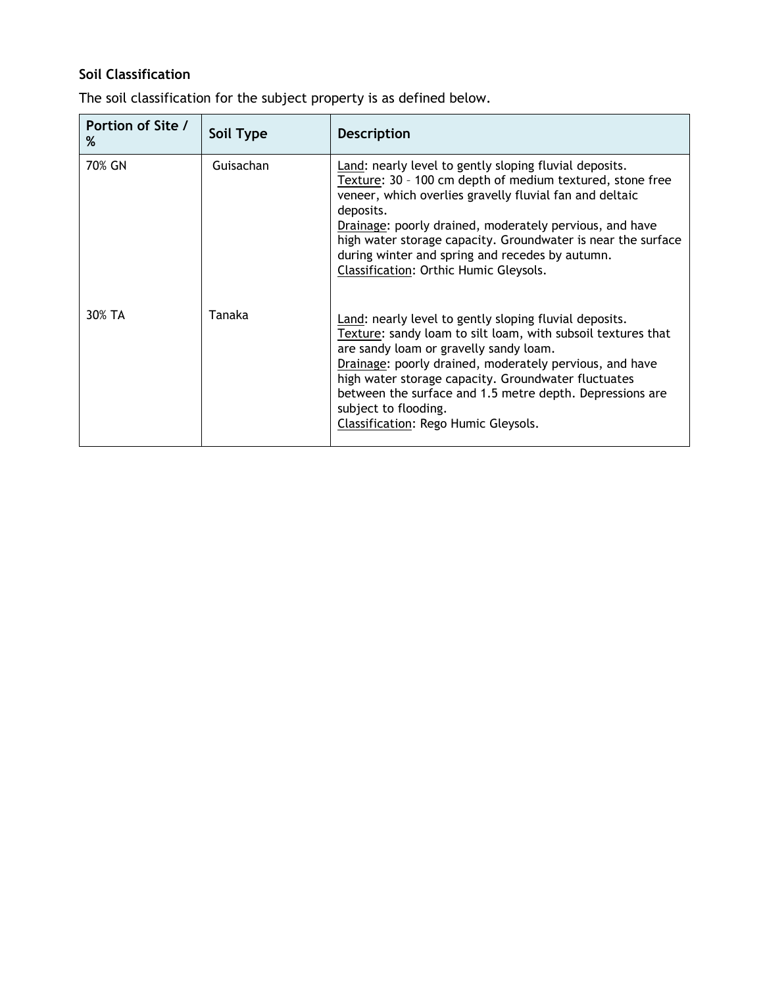## **Soil Classification**

The soil classification for the subject property is as defined below.

| Portion of Site /<br>% | Soil Type | <b>Description</b>                                                                                                                                                                                                                                                                                                                                                                                                  |
|------------------------|-----------|---------------------------------------------------------------------------------------------------------------------------------------------------------------------------------------------------------------------------------------------------------------------------------------------------------------------------------------------------------------------------------------------------------------------|
| 70% GN                 | Guisachan | Land: nearly level to gently sloping fluvial deposits.<br>Texture: 30 - 100 cm depth of medium textured, stone free<br>veneer, which overlies gravelly fluvial fan and deltaic<br>deposits.<br>Drainage: poorly drained, moderately pervious, and have<br>high water storage capacity. Groundwater is near the surface<br>during winter and spring and recedes by autumn.<br>Classification: Orthic Humic Gleysols. |
| 30% TA                 | Tanaka    | Land: nearly level to gently sloping fluvial deposits.<br>Texture: sandy loam to silt loam, with subsoil textures that<br>are sandy loam or gravelly sandy loam.<br>Drainage: poorly drained, moderately pervious, and have<br>high water storage capacity. Groundwater fluctuates<br>between the surface and 1.5 metre depth. Depressions are<br>subject to flooding.<br>Classification: Rego Humic Gleysols.      |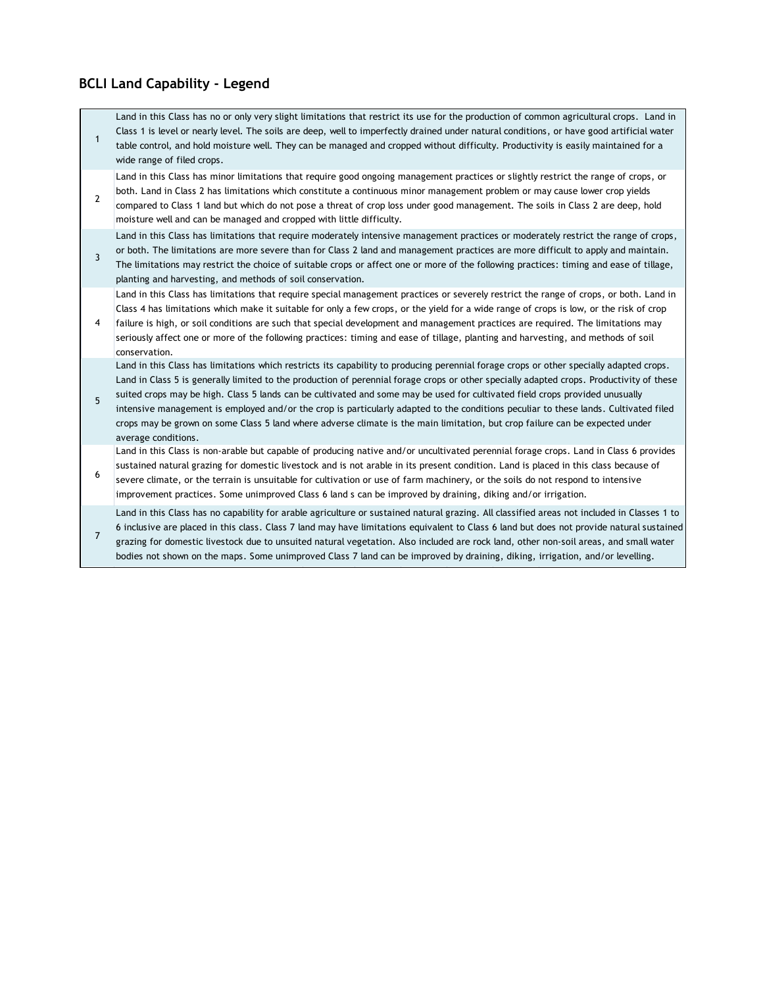## **BCLI Land Capability - Legend**

| $\mathbf{1}$   | Land in this Class has no or only very slight limitations that restrict its use for the production of common agricultural crops. Land in<br>Class 1 is level or nearly level. The soils are deep, well to imperfectly drained under natural conditions, or have good artificial water<br>table control, and hold moisture well. They can be managed and cropped without difficulty. Productivity is easily maintained for a<br>wide range of filed crops.                                                                                                                                                                                                                                                          |
|----------------|--------------------------------------------------------------------------------------------------------------------------------------------------------------------------------------------------------------------------------------------------------------------------------------------------------------------------------------------------------------------------------------------------------------------------------------------------------------------------------------------------------------------------------------------------------------------------------------------------------------------------------------------------------------------------------------------------------------------|
| $\overline{2}$ | Land in this Class has minor limitations that require good ongoing management practices or slightly restrict the range of crops, or<br>both. Land in Class 2 has limitations which constitute a continuous minor management problem or may cause lower crop yields<br>compared to Class 1 land but which do not pose a threat of crop loss under good management. The soils in Class 2 are deep, hold<br>moisture well and can be managed and cropped with little difficulty.                                                                                                                                                                                                                                      |
| 3              | Land in this Class has limitations that require moderately intensive management practices or moderately restrict the range of crops,<br>or both. The limitations are more severe than for Class 2 land and management practices are more difficult to apply and maintain.<br>The limitations may restrict the choice of suitable crops or affect one or more of the following practices: timing and ease of tillage,<br>planting and harvesting, and methods of soil conservation.                                                                                                                                                                                                                                 |
| 4              | Land in this Class has limitations that require special management practices or severely restrict the range of crops, or both. Land in<br>Class 4 has limitations which make it suitable for only a few crops, or the yield for a wide range of crops is low, or the risk of crop<br>failure is high, or soil conditions are such that special development and management practices are required. The limitations may<br>seriously affect one or more of the following practices: timing and ease of tillage, planting and harvesting, and methods of soil<br>conservation.                                                                                                                                        |
| 5              | Land in this Class has limitations which restricts its capability to producing perennial forage crops or other specially adapted crops.<br>Land in Class 5 is generally limited to the production of perennial forage crops or other specially adapted crops. Productivity of these<br>suited crops may be high. Class 5 lands can be cultivated and some may be used for cultivated field crops provided unusually<br>intensive management is employed and/or the crop is particularly adapted to the conditions peculiar to these lands. Cultivated filed<br>crops may be grown on some Class 5 land where adverse climate is the main limitation, but crop failure can be expected under<br>average conditions. |
| 6              | Land in this Class is non-arable but capable of producing native and/or uncultivated perennial forage crops. Land in Class 6 provides<br>sustained natural grazing for domestic livestock and is not arable in its present condition. Land is placed in this class because of<br>severe climate, or the terrain is unsuitable for cultivation or use of farm machinery, or the soils do not respond to intensive<br>improvement practices. Some unimproved Class 6 land s can be improved by draining, diking and/or irrigation.                                                                                                                                                                                   |
| $\overline{7}$ | Land in this Class has no capability for arable agriculture or sustained natural grazing. All classified areas not included in Classes 1 to<br>6 inclusive are placed in this class. Class 7 land may have limitations equivalent to Class 6 land but does not provide natural sustained<br>grazing for domestic livestock due to unsuited natural vegetation. Also included are rock land, other non-soil areas, and small water<br>bodies not shown on the maps. Some unimproved Class 7 land can be improved by draining, diking, irrigation, and/or levelling.                                                                                                                                                 |